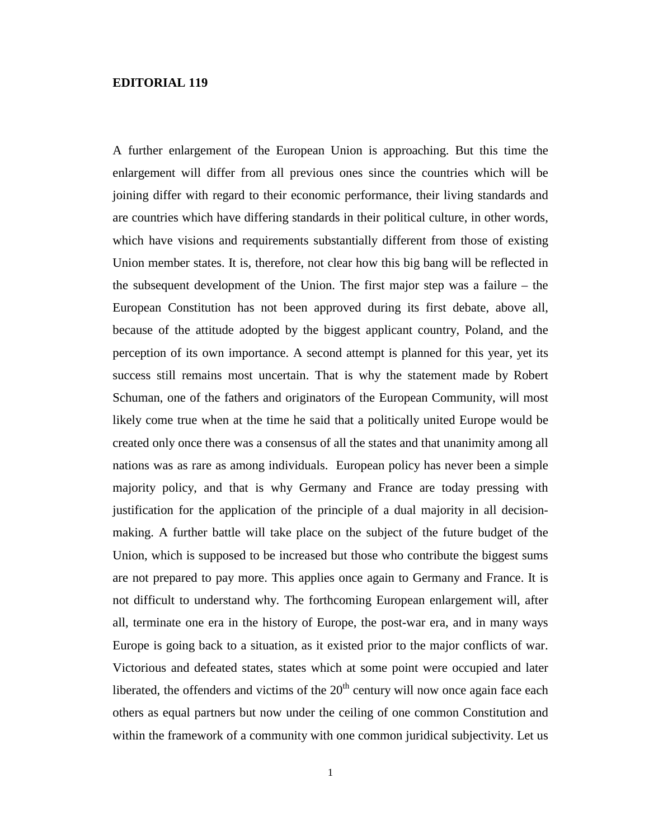## **EDITORIAL 119**

A further enlargement of the European Union is approaching. But this time the enlargement will differ from all previous ones since the countries which will be joining differ with regard to their economic performance, their living standards and are countries which have differing standards in their political culture, in other words, which have visions and requirements substantially different from those of existing Union member states. It is, therefore, not clear how this big bang will be reflected in the subsequent development of the Union. The first major step was a failure – the European Constitution has not been approved during its first debate, above all, because of the attitude adopted by the biggest applicant country, Poland, and the perception of its own importance. A second attempt is planned for this year, yet its success still remains most uncertain. That is why the statement made by Robert Schuman, one of the fathers and originators of the European Community, will most likely come true when at the time he said that a politically united Europe would be created only once there was a consensus of all the states and that unanimity among all nations was as rare as among individuals. European policy has never been a simple majority policy, and that is why Germany and France are today pressing with justification for the application of the principle of a dual majority in all decisionmaking. A further battle will take place on the subject of the future budget of the Union, which is supposed to be increased but those who contribute the biggest sums are not prepared to pay more. This applies once again to Germany and France. It is not difficult to understand why. The forthcoming European enlargement will, after all, terminate one era in the history of Europe, the post-war era, and in many ways Europe is going back to a situation, as it existed prior to the major conflicts of war. Victorious and defeated states, states which at some point were occupied and later liberated, the offenders and victims of the  $20<sup>th</sup>$  century will now once again face each others as equal partners but now under the ceiling of one common Constitution and within the framework of a community with one common juridical subjectivity. Let us